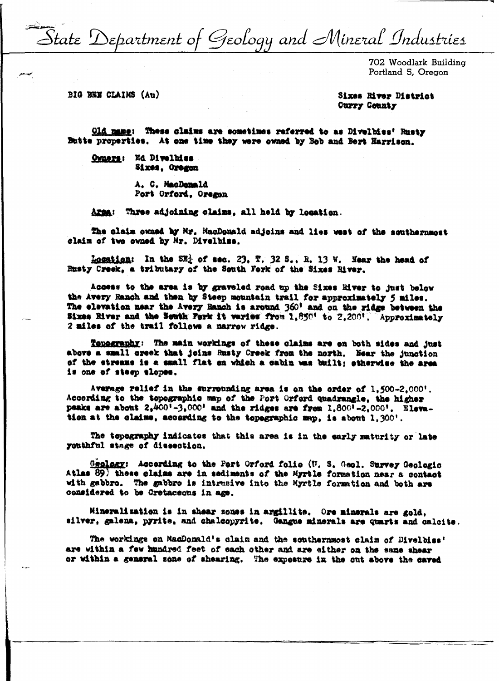State Department of Geology and Mineral Industries

702 Woodlark Building Portland 5. Oregon

BIG BEN CLAIMS (Au)

## Sixes River District **Curry County**

Old name: These claims are sometimes referred to as Divelbies' Rusty Butte properties. At one time they were owned by Bob and Bert Harrison.

Owners: Ed Divelbiss Sixes, Oregon

> A. C. MacDonald Port Orford, Oregon

Three adjoining claims, all held by location. **Area:** 

The claim owned by Mr. MacDonald adjoins and lies west of the southernmost claim of two owned by Mr. Divelbiss.

Location: In the  $SR<sub>2</sub>$  of sec. 23, T. 32 S., R. 13 W. Hear the head of Rusty Creek, a tributary of the South Fork of the Sixes River.

Access to the area is by graveled road up the Sixes River to just below the Avery Ranch and then by Steep mountain trail for approximately 5 miles. The elevation near the Avery Ranch is around 360' and on the ridge between the Sixes River and the Seath Fork it waries from 1,850' to 2,200'. Approximately 2 miles of the trail follows a narrow ridge.

Tenegranhy: The main werkings of these claims are on both sides and just above a small creek that joins Rusty Creek from the north. Hear the junction of the streams is a small flat on which a cabin was built; otherwise the area is one of steep slopes.

Average relief in the surrounding area is on the order of 1,500-2,000'. According to the topographic map of the Port Orford quadrangle, the higher peaks are about  $2,400^{\frac{1}{2}}-3,000^{\frac{1}{2}}$  and the ridges are from 1,800<sup>1</sup>-2,000<sup>1</sup>. Elevation at the claims, according to the topographic map, is about 1,300'.

The topography indicates that this area is in the early maturity or late youthful stage of dissection.

Geology: According to the Port Orford folio (U. S. Geol. Survey Geologic Atlas 89) these claims are in sediments of the Myrtle formation near a contact with gabbro. The gabbro is intrusive into the Myrtle formation and both are considered to be Cretaceous in age.

Mineralization is in shear zones in argillite. Ore minerals are gold. silver, galena, pyrite, and chalcopyrite. Gangue minerals are quarts and calcite.

The workings on MacDonald's claim and the southernmost claim of Divelbiss' are within a few hundred feet of each other and are either on the same shear or within a general sone of shearing. The exposure in the cut above the caved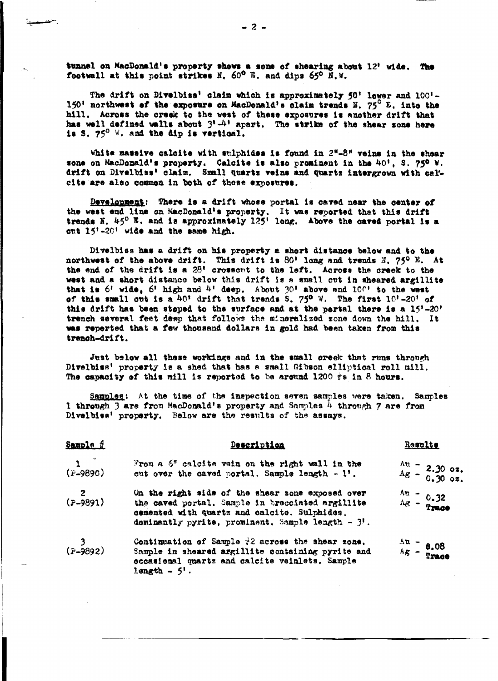tunnel on MacDonald's property shows a sone of shearing about 12' wide. The fectwall at this point strikes N. 60° E. and dips 65° E.W.

The drift on Divelbias' claim which is approximately 50' lower and 100'-150' northwest of the exposure on MacDonald's claim trends N. 75<sup>0</sup> E. into the hill. Across the creek to the west of these exposures is another drift that has well defined walls about  $3!-4!$  apart. The strike of the shear sone here is S. 750 W. and the dip is vertical.

White massive calcite with sulphides is found in 2"-8" veins in the shear sone on MacDonald's property. Calcite is also prominent in the 40', S. 750 W. drift on Divelbiss' claim. Small quartz veins and quartz intergrown with calcite are also common in both of these exposures.

Development: There is a drift whose portal is caved near the center of the west end line on MacDonald's property. It was reported that this drift trends N. 45° E. and is approximately 125' long. Above the caved portal is a out 15'-20' wide and the same high.

Divelbiss has a drift on his property a short distance below and to the northwest of the above drift. This drift is 80' long and trends N. 75° E. At the end of the drift is a 28' crossent to the left. Across the creek to the west and a short distance below this drift is a small cut in sheared argillite that is 6' wide, 6' high and 4' deep. About  $30'$  above and  $100'$  to the west of this small out is a 40' drift that trends S. 750 W. The first 10'-20' of this drift has been steped to the surface and at the pertal there is a 15'-20' trench several feet deep that follows the mineralized zone down the hill. It was reperted that a few thousand dollars in gold had been taken from this trench-drift.

Just below all these workings and in the small creek that runs through Divelbiss' property is a shed that has a small Gibson elliptical roll mill. The capacity of this mill is reported to be around 1200  $\#s$  in 8 hours.

Samples: At the time of the inspection seven samples were taken. Samples 1 through 3 are from MacDonald's property and Samples 4 through 7 are from Divelbiss' property. Below are the results of the assays.

| Sample f             | Description                                                                                                                                                                                                 | Results                                                                                          |
|----------------------|-------------------------------------------------------------------------------------------------------------------------------------------------------------------------------------------------------------|--------------------------------------------------------------------------------------------------|
| $\frac{1}{(P-9890)}$ | From a $6$ " calcite vein on the right wall in the<br>cut over the caved portal. Sample length $-1$ '.                                                                                                      | $\frac{\Delta u}{\Delta g} = 2.30 \text{ oz.}$<br>$\frac{\Delta u}{\Delta g} = 0.30 \text{ oz.}$ |
| $\frac{2}{(P-9891)}$ | On the right side of the shear zone exposed over<br>the caved portal. Sample in trecciated argillite<br>cemented with quartz and calcite. Sulphides,<br>dominantly pyrite, prominent. Sample length $-3!$ . | $\frac{\Delta n}{\Delta g} = \frac{0.32}{2 \text{ rad}}$                                         |
| $3$<br>(F-9892)      | Continuation of Sample $\#2$ across the shear zone.<br>Sample in sheared argillite containing pyrite and<br>occasional quartz and calcite veinlets. Sample<br>length $-5$ .                                 | $\frac{\text{Au}}{\text{Ag}} = \frac{0.08}{\text{Trace}}$                                        |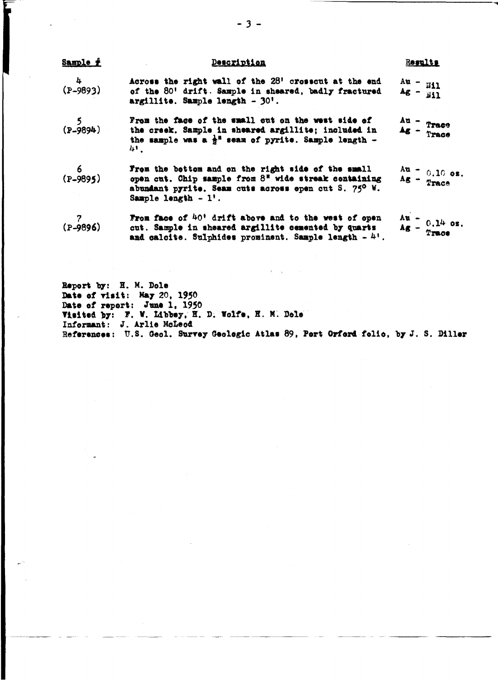| Sample #        | Description                                                                                                                                                                                     | Results                                                                |
|-----------------|-------------------------------------------------------------------------------------------------------------------------------------------------------------------------------------------------|------------------------------------------------------------------------|
| $4$<br>(P-9893) | Across the right wall of the 28' crosscut at the end<br>of the 80' drift. Sample in sheared, badly fractured<br>argillite. Sample length - 30'.                                                 | $\frac{Au}{4g} = \frac{H11}{H11}$                                      |
| $($ P-9894)     | From the face of the small cut on the west side of<br>the creek. Sample in sheared argillite; included in<br>the sample was a $\frac{1}{2}$ <sup>n</sup> seam of pyrite. Sample length -<br>41. | $\frac{\Delta u}{\Delta g}$ = Trace                                    |
| $6$<br>(P-9895) | From the bottom and on the right side of the small<br>open cut. Chip mample from 8" wide streak containing<br>abundant pyrite. Seam cuts across epen cut S. 75° W.<br>Sample length $-1$ '.     | ${\rm A}$ u = 0.10 oz.<br>${\rm A}$ g = ${\rm Trace}$                  |
| $(2 - 9896)$    | From face of 40 <sup>t</sup> drift above and to the west of open<br>cut. Sample in sheared argillite cemented by quarts<br>and calcite. Sulphides prominent. Sample length $-41$ .              | $\frac{\text{Au}}{\text{Ag}} = \frac{0.14 \text{ oz}}{\text{Trace}}$ . |
|                 |                                                                                                                                                                                                 |                                                                        |

Report by: H. M. Dole Date of visit: May 20, 1950<br>Date of report: June 1, 1950<br>Visited by: F. W. Libbey, H. D. Wolfe, H. M. Dole Informant: J. Arlie McLeod References: U.S. Geol. Survey Geologic Atlas 89, Port Orford folio, by J. S. Diller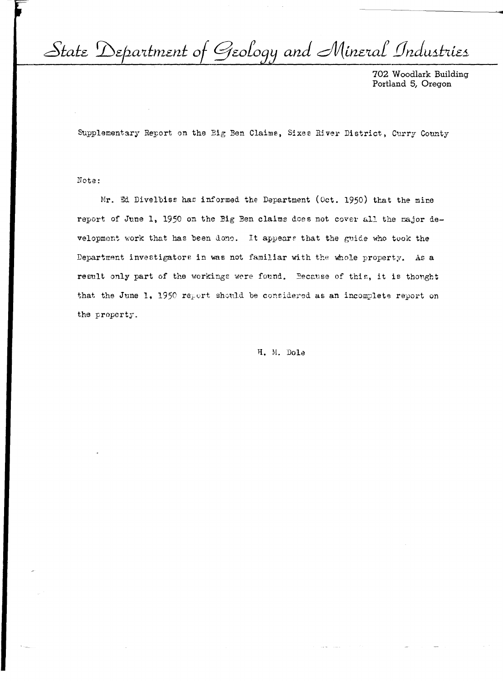State Department of Geology and Mineral Industries

702 Woodlark Building Portland 5, Oregon

Supplementary Report on the Big Ben Claims, Sixes River District, Curry County

## Note:

Mr. Ed Divelbiss has informed the Department (Oct. 1950) that the mine report of June 1, 1950 on the Big Ben claims does not cover all the major development work that has been done. It appears that the guide who took the Department investigators in was not familiar with the whole property. As a result only part of the workings were found. Because of this, it is thought that the June 1, 1950 report should be considered as an incomplete report on the property.

H. M. Dole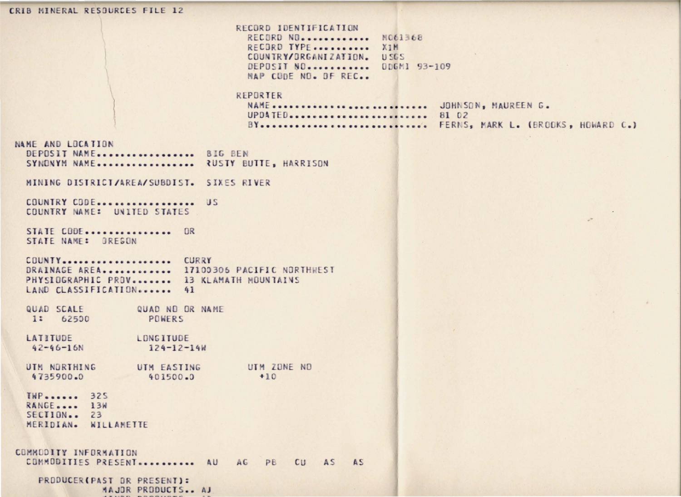CRIB MINERAL RESOURCES FILE 12 RECORD IDENTIFICATION RECORD NO............ NO61368 RECORD TYPE.......... XIM COUNTRY/ORGANIZATION. **USGS** DEPOSIT NO........... ODGMI 93-109 MAP CODE NO. DE REC.. REPORTER NAME ........................... JOHNSON, MAUREEN G. UPDATED......................... 81 02 BY............................. FERNS, MARK L. (BROOKS, HOWARD C.) NAME AND LOCATION DEPOSIT NAME................. BIG BEN SYNDNYM NAME................. RUSTY BUTTE, HARRISON MINING DISTRICT/AREA/SUBDIST. SIXES RIVER COUNTRY CODE................... US COUNTRY NAME: UNITED STATES  $28$ STATE CODE................ OR STATE NAME: OREGON COUNTY.................... CURRY DRAINAGE AREA............ 17100306 PACIFIC NORTHWEST PHYSIOGRAPHIC PROV........ 13 KLAMATH MOUNTAINS LAND CLASSIFICATION....... 41 QUAD SCALE QUAD NO OR NAME  $1: 62500$ POWERS LATITUDE LONGITUDE  $42 - 46 - 16N$  $124 - 12 - 14W$ UTM NORTHING UTM EASTING UTM ZONE ND<br>4735900.0 401500.0 +10 4735900.0 401500.0 **THP** ...... 325 RANGE..... 13W  $SECI10N...$  23 MERIDIAN. WILLAMETTE COMMODITY INFORMATION COMMODITIES PRESENT............. AU AG PB CU AS AS PRODUCER (PAST OR PRESENT): MAJOR PRODUCTS.. AJ